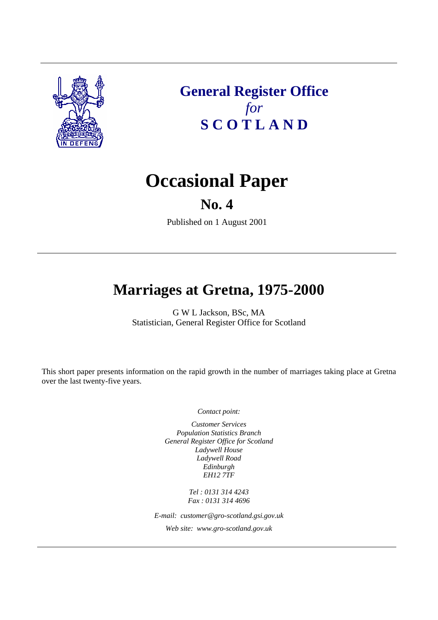

**General Register Office**  *for*  **S C O T L A N D** 

# **Occasional Paper**

## **No. 4**

Published on 1 August 2001

# **Marriages at Gretna, 1975-2000**

G W L Jackson, BSc, MA Statistician, General Register Office for Scotland

This short paper presents information on the rapid growth in the number of marriages taking place at Gretna over the last twenty-five years.

*Contact point:* 

*Customer Services Population Statistics Branch General Register Office for Scotland Ladywell House Ladywell Road Edinburgh EH12 7TF* 

> *Tel : 0131 314 4243 Fax : 0131 314 4696*

*E-mail: customer@gro-scotland.gsi.gov.uk* 

*Web site: www.gro-scotland.gov.uk*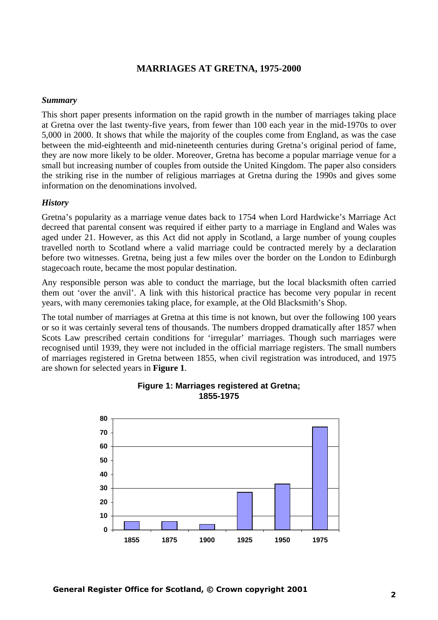## **MARRIAGES AT GRETNA, 1975-2000**

#### *Summary*

This short paper presents information on the rapid growth in the number of marriages taking place at Gretna over the last twenty-five years, from fewer than 100 each year in the mid-1970s to over 5,000 in 2000. It shows that while the majority of the couples come from England, as was the case between the mid-eighteenth and mid-nineteenth centuries during Gretna's original period of fame, they are now more likely to be older. Moreover, Gretna has become a popular marriage venue for a small but increasing number of couples from outside the United Kingdom. The paper also considers the striking rise in the number of religious marriages at Gretna during the 1990s and gives some information on the denominations involved.

#### *History*

Gretna's popularity as a marriage venue dates back to 1754 when Lord Hardwicke's Marriage Act decreed that parental consent was required if either party to a marriage in England and Wales was aged under 21. However, as this Act did not apply in Scotland, a large number of young couples travelled north to Scotland where a valid marriage could be contracted merely by a declaration before two witnesses. Gretna, being just a few miles over the border on the London to Edinburgh stagecoach route, became the most popular destination.

Any responsible person was able to conduct the marriage, but the local blacksmith often carried them out 'over the anvil'. A link with this historical practice has become very popular in recent years, with many ceremonies taking place, for example, at the Old Blacksmith's Shop.

The total number of marriages at Gretna at this time is not known, but over the following 100 years or so it was certainly several tens of thousands. The numbers dropped dramatically after 1857 when Scots Law prescribed certain conditions for 'irregular' marriages. Though such marriages were recognised until 1939, they were not included in the official marriage registers. The small numbers of marriages registered in Gretna between 1855, when civil registration was introduced, and 1975 are shown for selected years in **Figure 1**.



#### **Figure 1: Marriages registered at Gretna; 1855-1975**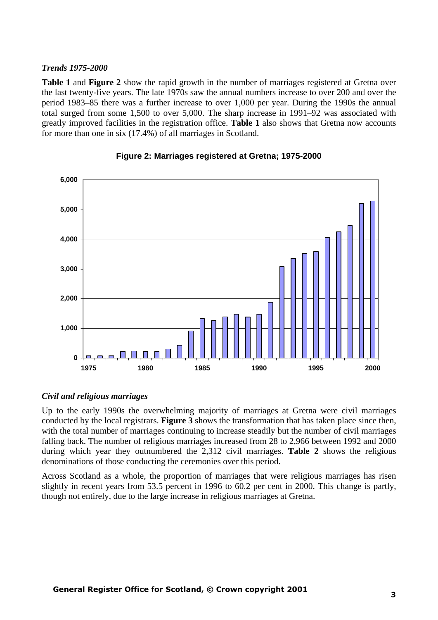#### *Trends 1975-2000*

**Table 1** and **Figure 2** show the rapid growth in the number of marriages registered at Gretna over the last twenty-five years. The late 1970s saw the annual numbers increase to over 200 and over the period 1983–85 there was a further increase to over 1,000 per year. During the 1990s the annual total surged from some 1,500 to over 5,000. The sharp increase in 1991–92 was associated with greatly improved facilities in the registration office. **Table 1** also shows that Gretna now accounts for more than one in six (17.4%) of all marriages in Scotland.



#### **Figure 2: Marriages registered at Gretna; 1975-2000**

#### *Civil and religious marriages*

Up to the early 1990s the overwhelming majority of marriages at Gretna were civil marriages conducted by the local registrars. **Figure 3** shows the transformation that has taken place since then, with the total number of marriages continuing to increase steadily but the number of civil marriages falling back. The number of religious marriages increased from 28 to 2,966 between 1992 and 2000 during which year they outnumbered the 2,312 civil marriages. **Table 2** shows the religious denominations of those conducting the ceremonies over this period.

Across Scotland as a whole, the proportion of marriages that were religious marriages has risen slightly in recent years from 53.5 percent in 1996 to 60.2 per cent in 2000. This change is partly, though not entirely, due to the large increase in religious marriages at Gretna.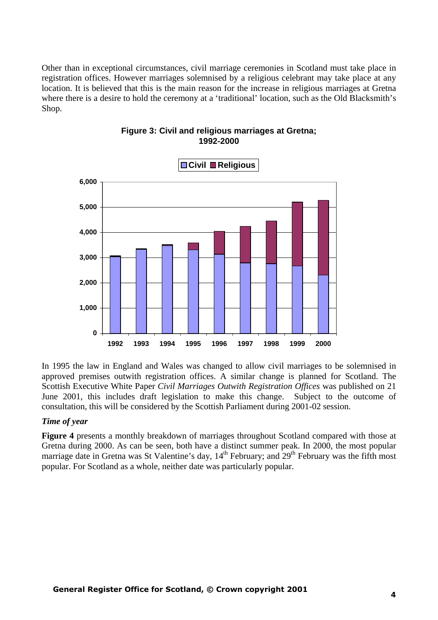Other than in exceptional circumstances, civil marriage ceremonies in Scotland must take place in registration offices. However marriages solemnised by a religious celebrant may take place at any location. It is believed that this is the main reason for the increase in religious marriages at Gretna where there is a desire to hold the ceremony at a 'traditional' location, such as the Old Blacksmith's Shop.



### **Figure 3: Civil and religious marriages at Gretna; 1992-2000**

In 1995 the law in England and Wales was changed to allow civil marriages to be solemnised in approved premises outwith registration offices. A similar change is planned for Scotland. The Scottish Executive White Paper *Civil Marriages Outwith Registration Offices* was published on 21 June 2001, this includes draft legislation to make this change. Subject to the outcome of consultation, this will be considered by the Scottish Parliament during 2001-02 session.

### *Time of year*

**Figure 4** presents a monthly breakdown of marriages throughout Scotland compared with those at Gretna during 2000. As can be seen, both have a distinct summer peak. In 2000, the most popular marriage date in Gretna was St Valentine's day,  $14<sup>th</sup>$  February; and  $29<sup>th</sup>$  February was the fifth most popular. For Scotland as a whole, neither date was particularly popular.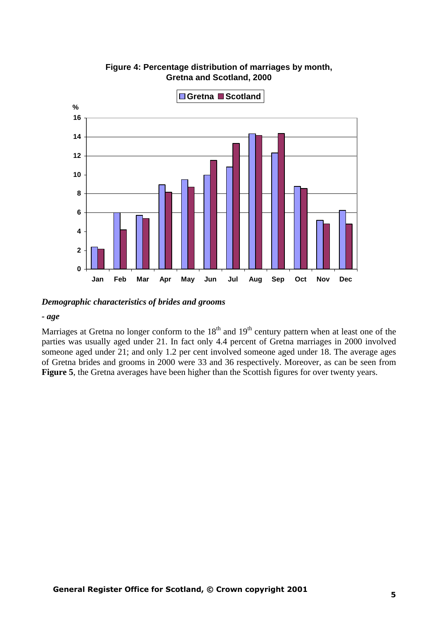

**Figure 4: Percentage distribution of marriages by month, Gretna and Scotland, 2000**

*Demographic characteristics of brides and grooms*

#### *- age*

Marriages at Gretna no longer conform to the  $18<sup>th</sup>$  and  $19<sup>th</sup>$  century pattern when at least one of the parties was usually aged under 21. In fact only 4.4 percent of Gretna marriages in 2000 involved someone aged under 21; and only 1.2 per cent involved someone aged under 18. The average ages of Gretna brides and grooms in 2000 were 33 and 36 respectively. Moreover, as can be seen from Figure 5, the Gretna averages have been higher than the Scottish figures for over twenty years.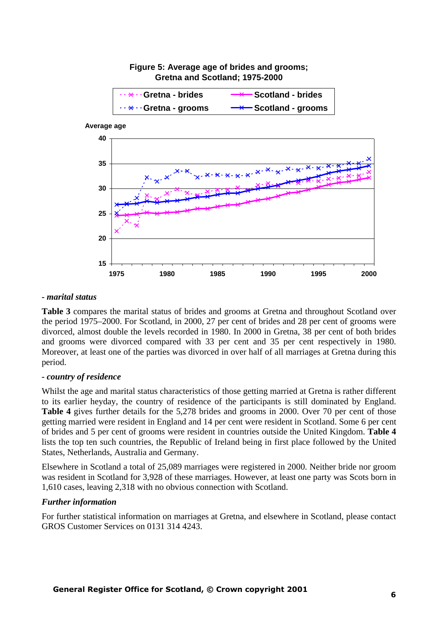

# **Figure 5: Average age of brides and grooms;**

#### *- marital status*

**Table 3** compares the marital status of brides and grooms at Gretna and throughout Scotland over the period 1975–2000. For Scotland, in 2000, 27 per cent of brides and 28 per cent of grooms were divorced, almost double the levels recorded in 1980. In 2000 in Gretna, 38 per cent of both brides and grooms were divorced compared with 33 per cent and 35 per cent respectively in 1980. Moreover, at least one of the parties was divorced in over half of all marriages at Gretna during this period.

#### *- country of residence*

Whilst the age and marital status characteristics of those getting married at Gretna is rather different to its earlier heyday, the country of residence of the participants is still dominated by England. **Table 4** gives further details for the 5,278 brides and grooms in 2000. Over 70 per cent of those getting married were resident in England and 14 per cent were resident in Scotland. Some 6 per cent of brides and 5 per cent of grooms were resident in countries outside the United Kingdom. **Table 4** lists the top ten such countries, the Republic of Ireland being in first place followed by the United States, Netherlands, Australia and Germany.

Elsewhere in Scotland a total of 25,089 marriages were registered in 2000. Neither bride nor groom was resident in Scotland for 3,928 of these marriages. However, at least one party was Scots born in 1,610 cases, leaving 2,318 with no obvious connection with Scotland.

#### *Further information*

For further statistical information on marriages at Gretna, and elsewhere in Scotland, please contact GROS Customer Services on 0131 314 4243.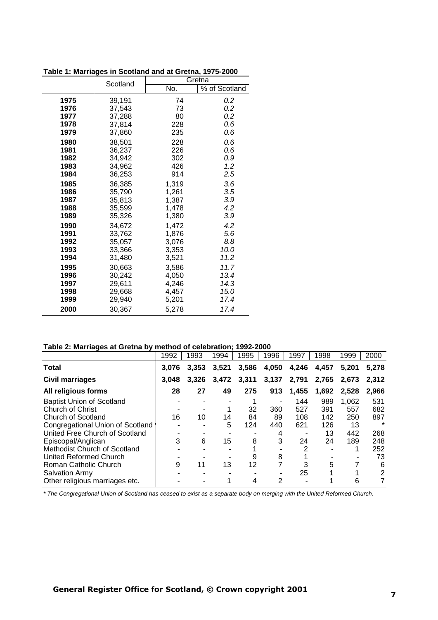| Table 1: Marriages in Scotland and at Gretna, 1975-2000 |          |        |               |  |  |
|---------------------------------------------------------|----------|--------|---------------|--|--|
|                                                         | Scotland | Gretna |               |  |  |
|                                                         |          | No.    | % of Scotland |  |  |
| 1975                                                    | 39,191   | 74     | 0.2           |  |  |
| 1976                                                    | 37,543   | 73     | 0.2           |  |  |
| 1977                                                    | 37,288   | 80     | 0.2           |  |  |
| 1978                                                    | 37,814   | 228    | 0.6           |  |  |
| 1979                                                    | 37,860   | 235    | 0.6           |  |  |
| 1980                                                    | 38,501   | 228    | 0.6           |  |  |
| 1981                                                    | 36,237   | 226    | 0.6           |  |  |
| 1982                                                    | 34,942   | 302    | 0.9           |  |  |
| 1983                                                    | 34,962   | 426    | 1.2           |  |  |
| 1984                                                    | 36,253   | 914    | 2.5           |  |  |
| 1985                                                    | 36,385   | 1,319  | 3.6           |  |  |
| 1986                                                    | 35,790   | 1,261  | 3.5           |  |  |
| 1987                                                    | 35,813   | 1,387  | 3.9           |  |  |
| 1988                                                    | 35,599   | 1,478  | 4.2           |  |  |
| 1989                                                    | 35,326   | 1,380  | 3.9           |  |  |
| 1990                                                    | 34,672   | 1,472  | 4.2           |  |  |
| 1991                                                    | 33,762   | 1,876  | 5.6           |  |  |
| 1992                                                    | 35,057   | 3,076  | 8.8           |  |  |
| 1993                                                    | 33,366   | 3,353  | 10.0          |  |  |
| 1994                                                    | 31,480   | 3,521  | 11.2          |  |  |
| 1995                                                    | 30,663   | 3,586  | 11.7          |  |  |
| 1996                                                    | 30,242   | 4,050  | 13.4          |  |  |
| 1997                                                    | 29,611   | 4,246  | 14.3          |  |  |
| 1998                                                    | 29,668   | 4,457  | 15.0          |  |  |
| 1999                                                    | 29,940   | 5,201  | 17.4          |  |  |
| 2000                                                    | 30,367   | 5,278  | 17.4          |  |  |

**Table 1: Marriages in Scotland and at Gretna, 1975-2000**

**Table 2: Marriages at Gretna by method of celebration; 1992-2000**

| Table 2. Marriages at Oretha by Thethou of Celebration, 1992-2000 |       |       |       |       |       |       |       |       |         |
|-------------------------------------------------------------------|-------|-------|-------|-------|-------|-------|-------|-------|---------|
|                                                                   | 1992  | 1993  | 1994  | 1995  | 1996  | 1997  | 1998  | 1999  | 2000    |
| <b>Total</b>                                                      | 3,076 | 3,353 | 3,521 | 3,586 | 4,050 | 4,246 | 4,457 | 5.201 | 5.278   |
| Civil marriages                                                   | 3,048 | 3,326 | 3,472 | 3,311 | 3,137 | 2,791 | 2,765 | 2,673 | 2.312   |
| All religious forms                                               | 28    | 27    | 49    | 275   | 913   | 1,455 | 1,692 | 2,528 | 2,966   |
| <b>Baptist Union of Scotland</b>                                  |       |       |       |       |       | 144   | 989   | 1.062 | 531     |
| <b>Church of Christ</b>                                           |       |       |       | 32    | 360   | 527   | 391   | 557   | 682     |
| Church of Scotland                                                | 16    | 10    | 14    | 84    | 89    | 108   | 142   | 250   | 897     |
| Congregational Union of Scotland                                  |       |       | 5     | 124   | 440   | 621   | 126   | 13    | $\star$ |
| United Free Church of Scotland                                    |       |       |       |       | 4     |       | 13    | 442   | 268     |
| Episcopal/Anglican                                                | 3     | 6     | 15    | 8     | 3     | 24    | 24    | 189   | 248     |
| Methodist Church of Scotland                                      |       |       |       |       |       | 2     |       |       | 252     |
| United Reformed Church                                            |       |       |       | 9     | 8     |       |       |       | 73      |
| Roman Catholic Church                                             | 9     | 11    | 13    | 12    |       |       | 5     |       | 6       |
| <b>Salvation Army</b>                                             |       |       |       |       |       | 25    |       |       | 2       |
| Other religious marriages etc.                                    |       |       |       | 4     | 2     |       |       | 6     |         |

*\* The Congregational Union of Scotland has ceased to exist as a separate body on merging with the United Reformed Church.*